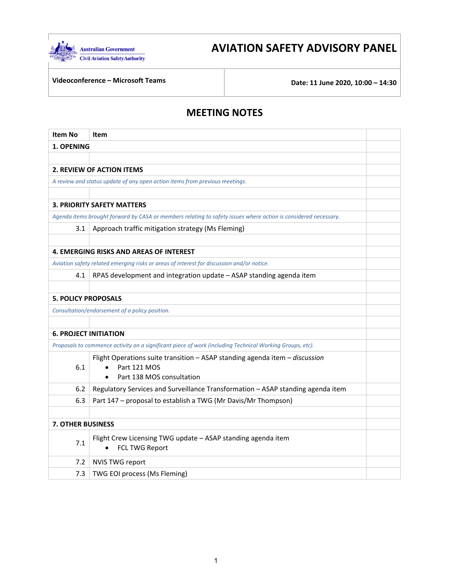

# **AVIATION SAFETY ADVISORY PANEL**

**Videoconference – Microsoft Teams Date: 11 June 2020, 10:00 – 14:30**

## **MEETING NOTES**

| <b>Item No</b>               | Item                                                                                                            |  |  |
|------------------------------|-----------------------------------------------------------------------------------------------------------------|--|--|
| 1. OPENING                   |                                                                                                                 |  |  |
|                              |                                                                                                                 |  |  |
|                              | <b>2. REVIEW OF ACTION ITEMS</b>                                                                                |  |  |
|                              | A review and status update of any open action items from previous meetings.                                     |  |  |
|                              |                                                                                                                 |  |  |
|                              | <b>3. PRIORITY SAFETY MATTERS</b>                                                                               |  |  |
|                              | Agenda items brought forward by CASA or members relating to safety issues where action is considered necessary. |  |  |
| 3.1                          | Approach traffic mitigation strategy (Ms Fleming)                                                               |  |  |
|                              |                                                                                                                 |  |  |
|                              | <b>4. EMERGING RISKS AND AREAS OF INTEREST</b>                                                                  |  |  |
|                              | Aviation safety related emerging risks or areas of interest for discussion and/or notice.                       |  |  |
| 4.1                          | RPAS development and integration update - ASAP standing agenda item                                             |  |  |
|                              |                                                                                                                 |  |  |
| <b>5. POLICY PROPOSALS</b>   |                                                                                                                 |  |  |
|                              | Consultation/endorsement of a policy position.                                                                  |  |  |
|                              |                                                                                                                 |  |  |
| <b>6. PROJECT INITIATION</b> |                                                                                                                 |  |  |
|                              | Proposals to commence activity on a significant piece of work (including Technical Working Groups, etc).        |  |  |
|                              | Flight Operations suite transition - ASAP standing agenda item - discussion                                     |  |  |
| 6.1                          | Part 121 MOS                                                                                                    |  |  |
|                              | Part 138 MOS consultation                                                                                       |  |  |
| 6.2                          | Regulatory Services and Surveillance Transformation - ASAP standing agenda item                                 |  |  |
| 6.3                          | Part 147 - proposal to establish a TWG (Mr Davis/Mr Thompson)                                                   |  |  |
|                              |                                                                                                                 |  |  |
| <b>7. OTHER BUSINESS</b>     |                                                                                                                 |  |  |
| 7.1                          | Flight Crew Licensing TWG update - ASAP standing agenda item<br><b>FCL TWG Report</b>                           |  |  |
| 7.2                          | <b>NVIS TWG report</b>                                                                                          |  |  |
| 7.3                          | TWG EOI process (Ms Fleming)                                                                                    |  |  |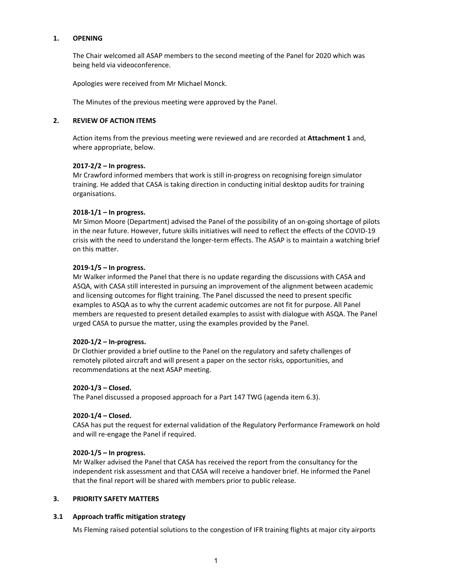#### **1. OPENING**

The Chair welcomed all ASAP members to the second meeting of the Panel for 2020 which was being held via videoconference.

Apologies were received from Mr Michael Monck.

The Minutes of the previous meeting were approved by the Panel.

#### **2. REVIEW OF ACTION ITEMS**

Action items from the previous meeting were reviewed and are recorded at **Attachment 1** and, where appropriate, below.

#### **2017‐2/2 – In progress.**

Mr Crawford informed members that work is still in‐progress on recognising foreign simulator training. He added that CASA is taking direction in conducting initial desktop audits for training organisations.

## **2018‐1/1 – In progress.**

Mr Simon Moore (Department) advised the Panel of the possibility of an on‐going shortage of pilots in the near future. However, future skills initiatives will need to reflect the effects of the COVID‐19 crisis with the need to understand the longer‐term effects. The ASAP is to maintain a watching brief on this matter.

## **2019‐1/5 – In progress.**

Mr Walker informed the Panel that there is no update regarding the discussions with CASA and ASQA, with CASA still interested in pursuing an improvement of the alignment between academic and licensing outcomes for flight training. The Panel discussed the need to present specific examples to ASQA as to why the current academic outcomes are not fit for purpose. All Panel members are requested to present detailed examples to assist with dialogue with ASQA. The Panel urged CASA to pursue the matter, using the examples provided by the Panel.

#### **2020‐1/2 – In‐progress.**

Dr Clothier provided a brief outline to the Panel on the regulatory and safety challenges of remotely piloted aircraft and will present a paper on the sector risks, opportunities, and recommendations at the next ASAP meeting.

#### **2020‐1/3 – Closed.**

The Panel discussed a proposed approach for a Part 147 TWG (agenda item 6.3).

#### **2020‐1/4 – Closed.**

CASA has put the request for external validation of the Regulatory Performance Framework on hold and will re-engage the Panel if required.

#### **2020‐1/5 – In progress.**

Mr Walker advised the Panel that CASA has received the report from the consultancy for the independent risk assessment and that CASA will receive a handover brief. He informed the Panel that the final report will be shared with members prior to public release.

### **3. PRIORITY SAFETY MATTERS**

#### **3.1 Approach traffic mitigation strategy**

Ms Fleming raised potential solutions to the congestion of IFR training flights at major city airports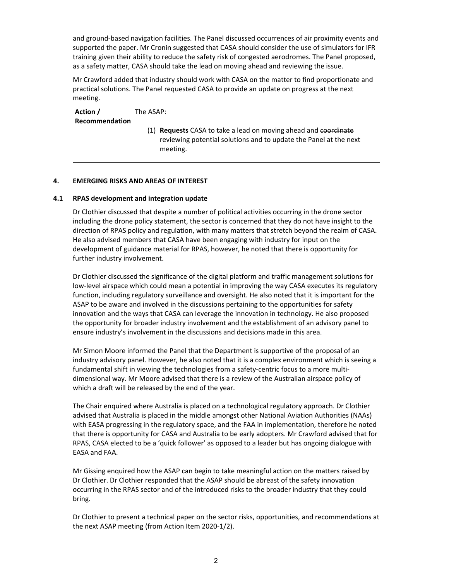and ground‐based navigation facilities. The Panel discussed occurrences of air proximity events and supported the paper. Mr Cronin suggested that CASA should consider the use of simulators for IFR training given their ability to reduce the safety risk of congested aerodromes. The Panel proposed, as a safety matter, CASA should take the lead on moving ahead and reviewing the issue.

Mr Crawford added that industry should work with CASA on the matter to find proportionate and practical solutions. The Panel requested CASA to provide an update on progress at the next meeting.

| Action /              | The ASAP:                                                                                                                                               |
|-----------------------|---------------------------------------------------------------------------------------------------------------------------------------------------------|
| <b>Recommendation</b> |                                                                                                                                                         |
|                       | (1) <b>Requests</b> CASA to take a lead on moving ahead and coordinate<br>reviewing potential solutions and to update the Panel at the next<br>meeting. |

## **4. EMERGING RISKS AND AREAS OF INTEREST**

#### **4.1 RPAS development and integration update**

Dr Clothier discussed that despite a number of political activities occurring in the drone sector including the drone policy statement, the sector is concerned that they do not have insight to the direction of RPAS policy and regulation, with many matters that stretch beyond the realm of CASA. He also advised members that CASA have been engaging with industry for input on the development of guidance material for RPAS, however, he noted that there is opportunity for further industry involvement.

Dr Clothier discussed the significance of the digital platform and traffic management solutions for low‐level airspace which could mean a potential in improving the way CASA executes its regulatory function, including regulatory surveillance and oversight. He also noted that it is important for the ASAP to be aware and involved in the discussions pertaining to the opportunities for safety innovation and the ways that CASA can leverage the innovation in technology. He also proposed the opportunity for broader industry involvement and the establishment of an advisory panel to ensure industry's involvement in the discussions and decisions made in this area.

Mr Simon Moore informed the Panel that the Department is supportive of the proposal of an industry advisory panel. However, he also noted that it is a complex environment which is seeing a fundamental shift in viewing the technologies from a safety-centric focus to a more multidimensional way. Mr Moore advised that there is a review of the Australian airspace policy of which a draft will be released by the end of the year.

The Chair enquired where Australia is placed on a technological regulatory approach. Dr Clothier advised that Australia is placed in the middle amongst other National Aviation Authorities (NAAs) with EASA progressing in the regulatory space, and the FAA in implementation, therefore he noted that there is opportunity for CASA and Australia to be early adopters. Mr Crawford advised that for RPAS, CASA elected to be a 'quick follower' as opposed to a leader but has ongoing dialogue with EASA and FAA.

Mr Gissing enquired how the ASAP can begin to take meaningful action on the matters raised by Dr Clothier. Dr Clothier responded that the ASAP should be abreast of the safety innovation occurring in the RPAS sector and of the introduced risks to the broader industry that they could bring.

Dr Clothier to present a technical paper on the sector risks, opportunities, and recommendations at the next ASAP meeting (from Action Item 2020‐1/2).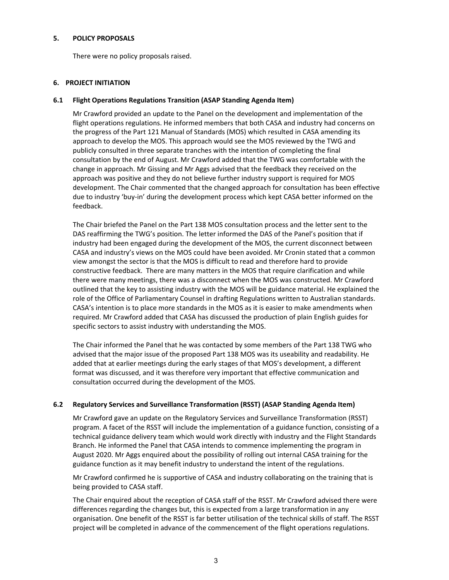#### **5. POLICY PROPOSALS**

There were no policy proposals raised.

#### **6. PROJECT INITIATION**

#### **6.1 Flight Operations Regulations Transition (ASAP Standing Agenda Item)**

Mr Crawford provided an update to the Panel on the development and implementation of the flight operations regulations. He informed members that both CASA and industry had concerns on the progress of the Part 121 Manual of Standards (MOS) which resulted in CASA amending its approach to develop the MOS. This approach would see the MOS reviewed by the TWG and publicly consulted in three separate tranches with the intention of completing the final consultation by the end of August. Mr Crawford added that the TWG was comfortable with the change in approach. Mr Gissing and Mr Aggs advised that the feedback they received on the approach was positive and they do not believe further industry support is required for MOS development. The Chair commented that the changed approach for consultation has been effective due to industry 'buy‐in' during the development process which kept CASA better informed on the feedback.

The Chair briefed the Panel on the Part 138 MOS consultation process and the letter sent to the DAS reaffirming the TWG's position. The letter informed the DAS of the Panel's position that if industry had been engaged during the development of the MOS, the current disconnect between CASA and industry's views on the MOS could have been avoided. Mr Cronin stated that a common view amongst the sector is that the MOS is difficult to read and therefore hard to provide constructive feedback. There are many matters in the MOS that require clarification and while there were many meetings, there was a disconnect when the MOS was constructed. Mr Crawford outlined that the key to assisting industry with the MOS will be guidance material. He explained the role of the Office of Parliamentary Counsel in drafting Regulations written to Australian standards. CASA's intention is to place more standards in the MOS as it is easier to make amendments when required. Mr Crawford added that CASA has discussed the production of plain English guides for specific sectors to assist industry with understanding the MOS.

The Chair informed the Panel that he was contacted by some members of the Part 138 TWG who advised that the major issue of the proposed Part 138 MOS was its useability and readability. He added that at earlier meetings during the early stages of that MOS's development, a different format was discussed, and it was therefore very important that effective communication and consultation occurred during the development of the MOS.

#### **6.2 Regulatory Services and Surveillance Transformation (RSST) (ASAP Standing Agenda Item)**

Mr Crawford gave an update on the Regulatory Services and Surveillance Transformation (RSST) program. A facet of the RSST will include the implementation of a guidance function, consisting of a technical guidance delivery team which would work directly with industry and the Flight Standards Branch. He informed the Panel that CASA intends to commence implementing the program in August 2020. Mr Aggs enquired about the possibility of rolling out internal CASA training for the guidance function as it may benefit industry to understand the intent of the regulations.

Mr Crawford confirmed he is supportive of CASA and industry collaborating on the training that is being provided to CASA staff.

The Chair enquired about the reception of CASA staff of the RSST. Mr Crawford advised there were differences regarding the changes but, this is expected from a large transformation in any organisation. One benefit of the RSST is far better utilisation of the technical skills of staff. The RSST project will be completed in advance of the commencement of the flight operations regulations.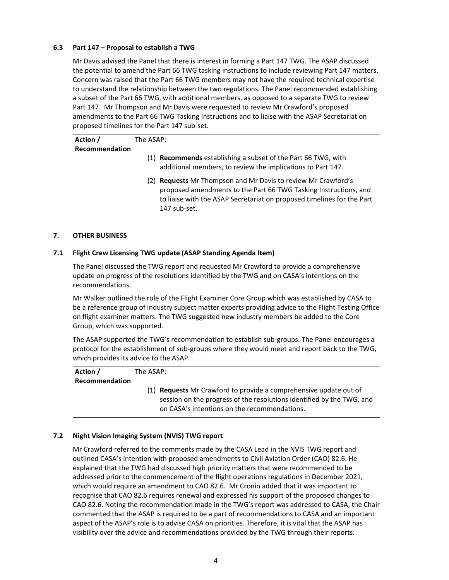## **6.3 Part 147 – Proposal to establish a TWG**

Mr Davis advised the Panel that there is interest in forming a Part 147 TWG. The ASAP discussed the potential to amend the Part 66 TWG tasking instructions to include reviewing Part 147 matters. Concern was raised that the Part 66 TWG members may not have the required technical expertise to understand the relationship between the two regulations. The Panel recommended establishing a subset of the Part 66 TWG, with additional members, as opposed to a separate TWG to review Part 147. Mr Thompson and Mr Davis were requested to review Mr Crawford's proposed amendments to the Part 66 TWG Tasking Instructions and to liaise with the ASAP Secretariat on proposed timelines for the Part 147 sub‐set.

| Action /       | The ASAP:                                                                                                                                                                                                                   |  |  |
|----------------|-----------------------------------------------------------------------------------------------------------------------------------------------------------------------------------------------------------------------------|--|--|
| Recommendation |                                                                                                                                                                                                                             |  |  |
|                | (1) Recommends establishing a subset of the Part 66 TWG, with                                                                                                                                                               |  |  |
|                | additional members, to review the implications to Part 147.                                                                                                                                                                 |  |  |
|                | (2) Requests Mr Thompson and Mr Davis to review Mr Crawford's<br>proposed amendments to the Part 66 TWG Tasking Instructions, and<br>to liaise with the ASAP Secretariat on proposed timelines for the Part<br>147 sub-set. |  |  |

#### **7. OTHER BUSINESS**

#### **7.1 Flight Crew Licensing TWG update (ASAP Standing Agenda Item)**

The Panel discussed the TWG report and requested Mr Crawford to provide a comprehensive update on progress of the resolutions identified by the TWG and on CASA's intentions on the recommendations.

Mr Walker outlined the role of the Flight Examiner Core Group which was established by CASA to be a reference group of industry subject matter experts providing advice to the Flight Testing Office on flight examiner matters. The TWG suggested new industry members be added to the Core Group, which was supported.

The ASAP supported the TWG's recommendation to establish sub-groups. The Panel encourages a protocol for the establishment of sub-groups where they would meet and report back to the TWG, which provides its advice to the ASAP.

| Action /              | lThe ASAP:                                                                                                                                                                                 |  |  |
|-----------------------|--------------------------------------------------------------------------------------------------------------------------------------------------------------------------------------------|--|--|
| <b>Recommendation</b> |                                                                                                                                                                                            |  |  |
|                       | (1) Requests Mr Crawford to provide a comprehensive update out of<br>session on the progress of the resolutions identified by the TWG, and<br>on CASA's intentions on the recommendations. |  |  |

#### **7.2 Night Vision Imaging System (NVIS) TWG report**

Mr Crawford referred to the comments made by the CASA Lead in the NVIS TWG report and outlined CASA's intention with proposed amendments to Civil Aviation Order (CAO) 82.6. He explained that the TWG had discussed high priority matters that were recommended to be addressed prior to the commencement of the flight operations regulations in December 2021, which would require an amendment to CAO 82.6. Mr Cronin added that it was important to recognise that CAO 82.6 requires renewal and expressed his support of the proposed changes to CAO 82.6. Noting the recommendation made in the TWG's report was addressed to CASA, the Chair commented that the ASAP is required to be a part of recommendations to CASA and an important aspect of the ASAP's role is to advise CASA on priorities. Therefore, it is vital that the ASAP has visibility over the advice and recommendations provided by the TWG through their reports.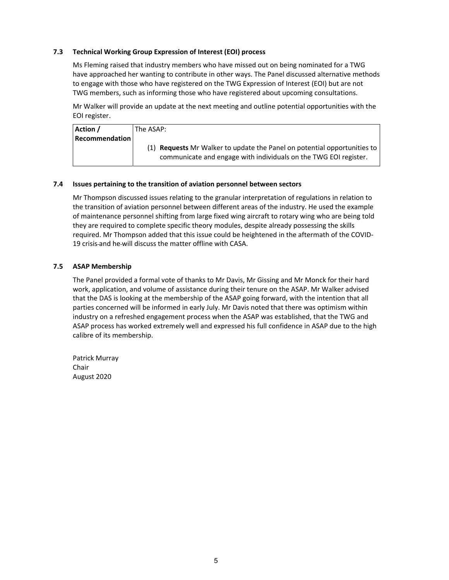### **7.3 Technical Working Group Expression of Interest (EOI) process**

Ms Fleming raised that industry members who have missed out on being nominated for a TWG have approached her wanting to contribute in other ways. The Panel discussed alternative methods to engage with those who have registered on the TWG Expression of Interest (EOI) but are not TWG members, such as informing those who have registered about upcoming consultations.

Mr Walker will provide an update at the next meeting and outline potential opportunities with the EOI register.

| Action /              | lThe ASAP: l                                                                                                                                                  |  |  |
|-----------------------|---------------------------------------------------------------------------------------------------------------------------------------------------------------|--|--|
| <b>Recommendation</b> |                                                                                                                                                               |  |  |
|                       | $(1)$ <b>Requests</b> Mr Walker to update the Panel on potential opportunities to $\vert$<br>communicate and engage with individuals on the TWG EOI register. |  |  |

#### **7.4 Issues pertaining to the transition of aviation personnel between sectors**

Mr Thompson discussed issues relating to the granular interpretation of regulations in relation to the transition of aviation personnel between different areas of the industry. He used the example of maintenance personnel shifting from large fixed wing aircraft to rotary wing who are being told they are required to complete specific theory modules, despite already possessing the skills required. Mr Thompson added that this issue could be heightened in the aftermath of the COVID‐ 19 crisis and he will discuss the matter offline with CASA.

#### **7.5 ASAP Membership**

The Panel provided a formal vote of thanks to Mr Davis, Mr Gissing and Mr Monck for their hard work, application, and volume of assistance during their tenure on the ASAP. Mr Walker advised that the DAS is looking at the membership of the ASAP going forward, with the intention that all parties concerned will be informed in early July. Mr Davis noted that there was optimism within industry on a refreshed engagement process when the ASAP was established, that the TWG and ASAP process has worked extremely well and expressed his full confidence in ASAP due to the high calibre of its membership.

Patrick Murray Chair August 2020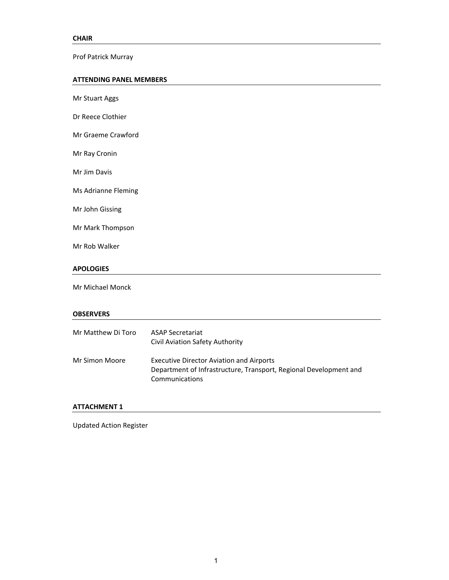Prof Patrick Murray

#### **ATTENDING PANEL MEMBERS**

Mr Stuart Aggs Dr Reece Clothier Mr Graeme Crawford Mr Ray Cronin Mr Jim Davis Ms Adrianne Fleming Mr John Gissing Mr Mark Thompson Mr Rob Walker **APOLOGIES** Mr Michael Monck **OBSERVERS** Mr Matthew Di Toro ASAP Secretariat Civil Aviation Safety Authority Mr Simon Moore Executive Director Aviation and Airports Department of Infrastructure, Transport, Regional Development and Communications

## **ATTACHMENT 1**

Updated Action Register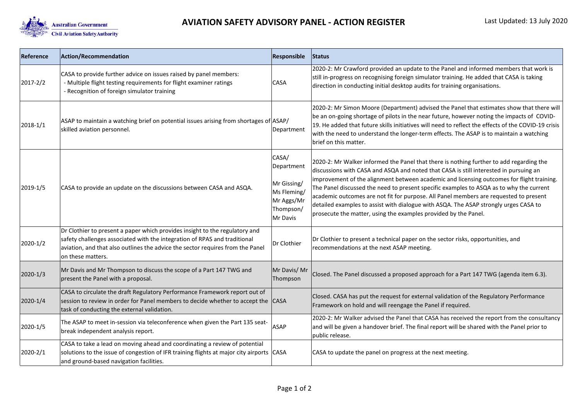

| Reference    | <b>Action/Recommendation</b>                                                                                                                                                                                                                                    | Responsible Status                                               |                                                                                                                                                                                                                                                                                                                                                                                                                                          |
|--------------|-----------------------------------------------------------------------------------------------------------------------------------------------------------------------------------------------------------------------------------------------------------------|------------------------------------------------------------------|------------------------------------------------------------------------------------------------------------------------------------------------------------------------------------------------------------------------------------------------------------------------------------------------------------------------------------------------------------------------------------------------------------------------------------------|
| 2017-2/2     | CASA to provide further advice on issues raised by panel members:<br>- Multiple flight testing requirements for flight examiner ratings<br>- Recognition of foreign simulator training                                                                          | CASA                                                             | 2020-2: Mr Crawford provided an update to the Panel and informed members that work is<br>still in-progress on recognising foreign simulator training. He added that CASA is taking<br>direction in conducting initial desktop audits for training organisations.                                                                                                                                                                         |
| 2018-1/1     | ASAP to maintain a watching brief on potential issues arising from shortages of ASAP/<br>skilled aviation personnel.                                                                                                                                            | Department                                                       | 2020-2: Mr Simon Moore (Department) advised the Panel that estimates show that there will<br>be an on-going shortage of pilots in the near future, however noting the impacts of COVID-<br>19. He added that future skills initiatives will need to reflect the effects of the COVID-19 crisis<br>with the need to understand the longer-term effects. The ASAP is to maintain a watching<br>brief on this matter.                       |
| 2019-1/5     | CASA to provide an update on the discussions between CASA and ASQA.                                                                                                                                                                                             | CASA/<br>Department                                              | 2020-2: Mr Walker informed the Panel that there is nothing further to add regarding the<br>discussions with CASA and ASQA and noted that CASA is still interested in pursuing an                                                                                                                                                                                                                                                         |
|              |                                                                                                                                                                                                                                                                 | Mr Gissing/<br>Ms Fleming<br>Mr Aggs/Mr<br>Thompson/<br>Mr Davis | improvement of the alignment between academic and licensing outcomes for flight training.<br>The Panel discussed the need to present specific examples to ASQA as to why the current<br>academic outcomes are not fit for purpose. All Panel members are requested to present<br>detailed examples to assist with dialogue with ASQA. The ASAP strongly urges CASA to<br>prosecute the matter, using the examples provided by the Panel. |
| 2020-1/2     | Dr Clothier to present a paper which provides insight to the regulatory and<br>safety challenges associated with the integration of RPAS and traditional<br>aviation, and that also outlines the advice the sector requires from the Panel<br>on these matters. | Dr Clothier                                                      | Dr Clothier to present a technical paper on the sector risks, opportunities, and<br>recommendations at the next ASAP meeting.                                                                                                                                                                                                                                                                                                            |
| $2020 - 1/3$ | Mr Davis and Mr Thompson to discuss the scope of a Part 147 TWG and<br>present the Panel with a proposal.                                                                                                                                                       | Mr Davis/Mr<br>Thompson                                          | Closed. The Panel discussed a proposed approach for a Part 147 TWG (agenda item 6.3).                                                                                                                                                                                                                                                                                                                                                    |
| 2020-1/4     | CASA to circulate the draft Regulatory Performance Framework report out of<br>session to review in order for Panel members to decide whether to accept the<br>task of conducting the external validation.                                                       | <b>CASA</b>                                                      | Closed. CASA has put the request for external validation of the Regulatory Performance<br>Framework on hold and will reengage the Panel if required.                                                                                                                                                                                                                                                                                     |
| 2020-1/5     | The ASAP to meet in-session via teleconference when given the Part 135 seat-<br>break independent analysis report.                                                                                                                                              | <b>ASAP</b>                                                      | 2020-2: Mr Walker advised the Panel that CASA has received the report from the consultancy<br>and will be given a handover brief. The final report will be shared with the Panel prior to<br>public release.                                                                                                                                                                                                                             |
| 2020-2/1     | CASA to take a lead on moving ahead and coordinating a review of potential<br>solutions to the issue of congestion of IFR training flights at major city airports CASA<br>and ground-based navigation facilities.                                               |                                                                  | CASA to update the panel on progress at the next meeting.                                                                                                                                                                                                                                                                                                                                                                                |